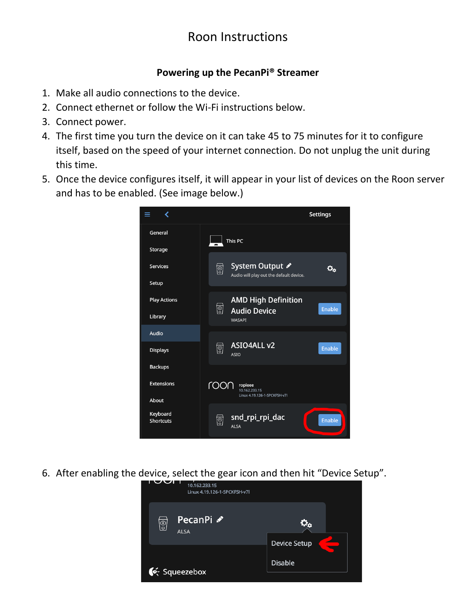# Roon Instructions

### **Powering up the PecanPi® Streamer**

- 1. Make all audio connections to the device.
- 2. Connect ethernet or follow the Wi-Fi instructions below.
- 3. Connect power.
- 4. The first time you turn the device on it can take 45 to 75 minutes for it to configure itself, based on the speed of your internet connection. Do not unplug the unit during this time.
- 5. Once the device configures itself, it will appear in your list of devices on the Roon server and has to be enabled. (See image below.)



6. After enabling the device, select the gear icon and then hit "Device Setup".

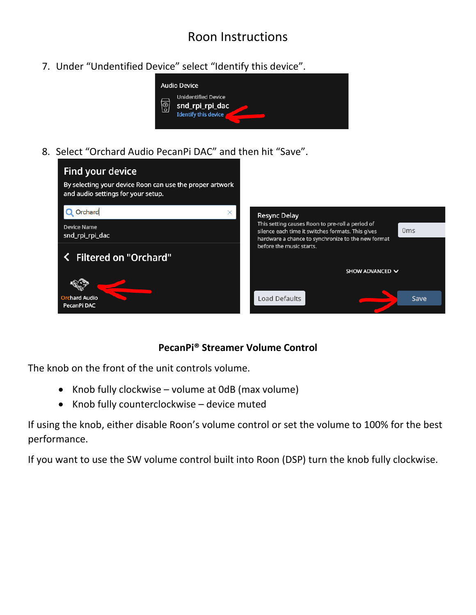# Roon Instructions

7. Under "Undentified Device" select "Identify this device".



8. Select "Orchard Audio PecanPi DAC" and then hit "Save".



## **PecanPi® Streamer Volume Control**

The knob on the front of the unit controls volume.

- Knob fully clockwise volume at 0dB (max volume)
- Knob fully counterclockwise device muted

If using the knob, either disable Roon's volume control or set the volume to 100% for the best performance.

If you want to use the SW volume control built into Roon (DSP) turn the knob fully clockwise.